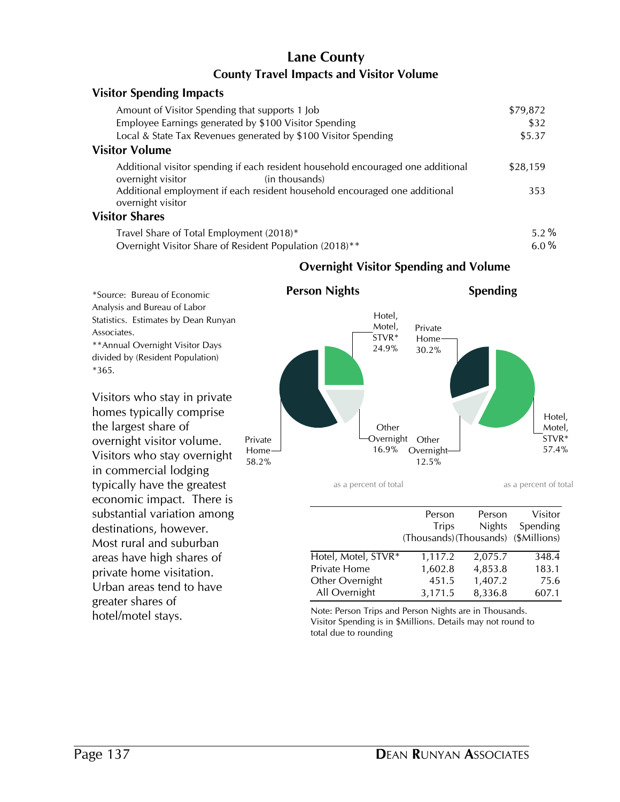# **County Travel Impacts and Visitor Volume Lane County**

| <b>Visitor Spending Impacts</b>                                                                                         |          |
|-------------------------------------------------------------------------------------------------------------------------|----------|
| Amount of Visitor Spending that supports 1 Job                                                                          | \$79,872 |
| Employee Earnings generated by \$100 Visitor Spending                                                                   | \$32     |
| Local & State Tax Revenues generated by \$100 Visitor Spending                                                          | \$5.37   |
| <b>Visitor Volume</b>                                                                                                   |          |
| Additional visitor spending if each resident household encouraged one additional<br>overnight visitor<br>(in thousands) | \$28,159 |
| Additional employment if each resident household encouraged one additional<br>overnight visitor                         | 353      |
| <b>Visitor Shares</b>                                                                                                   |          |
| Travel Share of Total Employment (2018)*                                                                                | 5.2%     |
| Overnight Visitor Share of Resident Population (2018)**                                                                 | 6.0%     |

#### \*Source: Bureau of Economic 24.9% Hotel, Motel, STVR\* 16.9% **Other** Overnight Other 58.2% Private Home **Person Nights** as a percent of total 57.4% Hotel, Motel, STVR\* 12.5% **Overnight-**30.2% Private Home **Spending** as a percent of total

**Overnight Visitor Spending and Volume**

|                     | Person                               | Person        | Visitor  |
|---------------------|--------------------------------------|---------------|----------|
|                     | <b>Trips</b>                         | <b>Nights</b> | Spending |
|                     | (Thousands) (Thousands) (\$Millions) |               |          |
| Hotel, Motel, STVR* | 1,117.2                              | 2,075.7       | 348.4    |
| Private Home        | 1,602.8                              | 4,853.8       | 183.1    |
| Other Overnight     | 451.5                                | 1,407.2       | 75.6     |
| All Overnight       | 3,171.5                              | 8,336.8       | 607.1    |

hotel/motel stays.<br>
Note: Person Trips and Person Nights are in Thousands.<br>
Victor Spanding is in Additions. Details may not round to Visitor Spending is in \$Millions. Details may not round to total due to rounding

Analysis and Bureau of Labor Statistics. Estimates by Dean Runyan Associates. \*\*Annual Overnight Visitor Days divided by (Resident Population)

\*365.

Visitors who stay in private homes typically comprise the largest share of overnight visitor volume. Visitors who stay overnight in commercial lodging typically have the greatest economic impact. There is substantial variation among destinations, however. Most rural and suburban areas have high shares of private home visitation. Urban areas tend to have greater shares of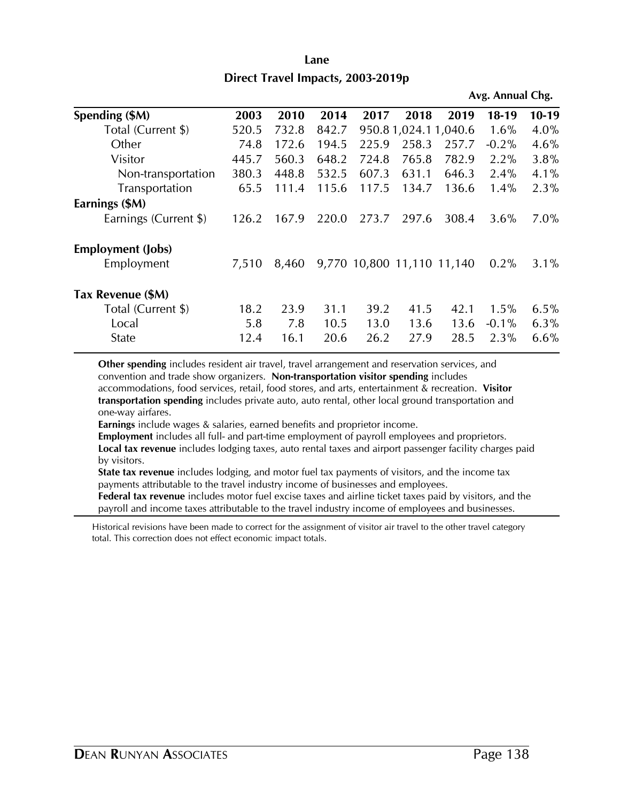| Lane                              |  |  |  |  |  |  |  |
|-----------------------------------|--|--|--|--|--|--|--|
| Direct Travel Impacts, 2003-2019p |  |  |  |  |  |  |  |

|                          |       |       |       |                            |                     |       | Avg. Annual Chg. |         |
|--------------------------|-------|-------|-------|----------------------------|---------------------|-------|------------------|---------|
| Spending (\$M)           | 2003  | 2010  | 2014  | 2017                       | 2018                | 2019  | $18-19$          | $10-19$ |
| Total (Current \$)       | 520.5 | 732.8 | 842.7 |                            | 950.81,024.11,040.6 |       | 1.6%             | 4.0%    |
| Other                    | 74.8  | 172.6 | 194.5 | 225.9                      | 258.3               | 257.7 | $-0.2%$          | 4.6%    |
| Visitor                  | 445.7 | 560.3 | 648.2 | 724.8                      | 765.8               | 782.9 | 2.2%             | 3.8%    |
| Non-transportation       | 380.3 | 448.8 | 532.5 | 607.3                      | 631.1               | 646.3 | 2.4%             | $4.1\%$ |
| Transportation           | 65.5  | 111.4 | 115.6 | 117.5                      | 134.7               | 136.6 | 1.4%             | 2.3%    |
| Earnings (\$M)           |       |       |       |                            |                     |       |                  |         |
| Earnings (Current \$)    | 126.2 | 167.9 | 220.0 | 273.7                      | 297.6               | 308.4 | 3.6%             | 7.0%    |
| <b>Employment (Jobs)</b> |       |       |       |                            |                     |       |                  |         |
| Employment               | 7,510 | 8,460 |       | 9,770 10,800 11,110 11,140 |                     |       | 0.2%             | $3.1\%$ |
| Tax Revenue (\$M)        |       |       |       |                            |                     |       |                  |         |
| Total (Current \$)       | 18.2  | 23.9  | 31.1  | 39.2                       | 41.5                | 42.1  | 1.5%             | 6.5%    |
| Local                    | 5.8   | 7.8   | 10.5  | 13.0                       | 13.6                | 13.6  | $-0.1\%$         | 6.3%    |
| State                    | 12.4  | 16.1  | 20.6  | 26.2                       | 27.9                | 28.5  | 2.3%             | 6.6%    |

**Other spending** includes resident air travel, travel arrangement and reservation services, and convention and trade show organizers. **Non-transportation visitor spending** includes accommodations, food services, retail, food stores, and arts, entertainment & recreation. **Visitor transportation spending** includes private auto, auto rental, other local ground transportation and one-way airfares.

**Earnings** include wages & salaries, earned benefits and proprietor income.

**Employment** includes all full- and part-time employment of payroll employees and proprietors. **Local tax revenue** includes lodging taxes, auto rental taxes and airport passenger facility charges paid by visitors.

**State tax revenue** includes lodging, and motor fuel tax payments of visitors, and the income tax payments attributable to the travel industry income of businesses and employees.

**Federal tax revenue** includes motor fuel excise taxes and airline ticket taxes paid by visitors, and the payroll and income taxes attributable to the travel industry income of employees and businesses.

Historical revisions have been made to correct for the assignment of visitor air travel to the other travel category total. This correction does not effect economic impact totals.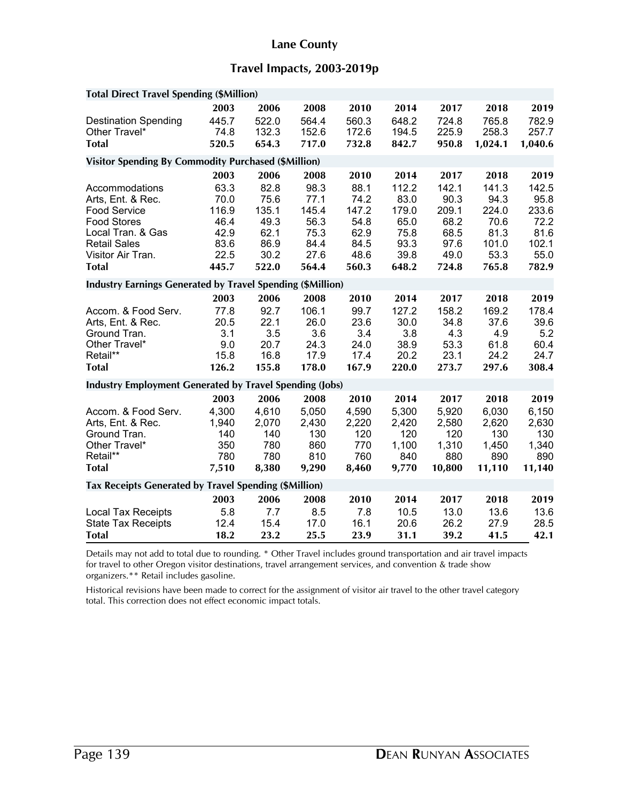#### **Lane County**

# **Travel Impacts, 2003-2019p**

| <b>Total Direct Travel Spending (\$Million)</b>                                                                                                                                                                                                                                    |                                                                                        |                                                                                        |                                                                                         |                                                                                        |                                                                                          |                                                                                          |                                                                                           |                                                                                           |
|------------------------------------------------------------------------------------------------------------------------------------------------------------------------------------------------------------------------------------------------------------------------------------|----------------------------------------------------------------------------------------|----------------------------------------------------------------------------------------|-----------------------------------------------------------------------------------------|----------------------------------------------------------------------------------------|------------------------------------------------------------------------------------------|------------------------------------------------------------------------------------------|-------------------------------------------------------------------------------------------|-------------------------------------------------------------------------------------------|
| <b>Destination Spending</b><br>Other Travel*<br><b>Total</b>                                                                                                                                                                                                                       | 2003<br>445.7<br>74.8<br>520.5                                                         | 2006<br>522.0<br>132.3<br>654.3                                                        | 2008<br>564.4<br>152.6<br>717.0                                                         | 2010<br>560.3<br>172.6<br>732.8                                                        | 2014<br>648.2<br>194.5<br>842.7                                                          | 2017<br>724.8<br>225.9<br>950.8                                                          | 2018<br>765.8<br>258.3<br>1,024.1                                                         | 2019<br>782.9<br>257.7<br>1,040.6                                                         |
|                                                                                                                                                                                                                                                                                    |                                                                                        |                                                                                        |                                                                                         |                                                                                        |                                                                                          |                                                                                          |                                                                                           |                                                                                           |
| <b>Visitor Spending By Commodity Purchased (\$Million)</b>                                                                                                                                                                                                                         |                                                                                        |                                                                                        |                                                                                         |                                                                                        |                                                                                          |                                                                                          |                                                                                           |                                                                                           |
|                                                                                                                                                                                                                                                                                    | 2003                                                                                   | 2006                                                                                   | 2008                                                                                    | 2010                                                                                   | 2014                                                                                     | 2017                                                                                     | 2018                                                                                      | 2019                                                                                      |
| Accommodations<br>Arts, Ent. & Rec.<br><b>Food Service</b><br><b>Food Stores</b><br>Local Tran. & Gas<br><b>Retail Sales</b><br>Visitor Air Tran.<br><b>Total</b><br><b>Industry Earnings Generated by Travel Spending (\$Million)</b><br>Accom. & Food Serv.<br>Arts, Ent. & Rec. | 63.3<br>70.0<br>116.9<br>46.4<br>42.9<br>83.6<br>22.5<br>445.7<br>2003<br>77.8<br>20.5 | 82.8<br>75.6<br>135.1<br>49.3<br>62.1<br>86.9<br>30.2<br>522.0<br>2006<br>92.7<br>22.1 | 98.3<br>77.1<br>145.4<br>56.3<br>75.3<br>84.4<br>27.6<br>564.4<br>2008<br>106.1<br>26.0 | 88.1<br>74.2<br>147.2<br>54.8<br>62.9<br>84.5<br>48.6<br>560.3<br>2010<br>99.7<br>23.6 | 112.2<br>83.0<br>179.0<br>65.0<br>75.8<br>93.3<br>39.8<br>648.2<br>2014<br>127.2<br>30.0 | 142.1<br>90.3<br>209.1<br>68.2<br>68.5<br>97.6<br>49.0<br>724.8<br>2017<br>158.2<br>34.8 | 141.3<br>94.3<br>224.0<br>70.6<br>81.3<br>101.0<br>53.3<br>765.8<br>2018<br>169.2<br>37.6 | 142.5<br>95.8<br>233.6<br>72.2<br>81.6<br>102.1<br>55.0<br>782.9<br>2019<br>178.4<br>39.6 |
| Ground Tran.<br>Other Travel*<br>Retail**<br><b>Total</b>                                                                                                                                                                                                                          | 3.1<br>9.0<br>15.8<br>126.2                                                            | 3.5<br>20.7<br>16.8<br>155.8                                                           | 3.6<br>24.3<br>17.9<br>178.0                                                            | 3.4<br>24.0<br>17.4<br>167.9                                                           | 3.8<br>38.9<br>20.2<br>220.0                                                             | 4.3<br>53.3<br>23.1<br>273.7                                                             | 4.9<br>61.8<br>24.2<br>297.6                                                              | 5.2<br>60.4<br>24.7<br>308.4                                                              |
| <b>Industry Employment Generated by Travel Spending (Jobs)</b>                                                                                                                                                                                                                     |                                                                                        |                                                                                        |                                                                                         |                                                                                        |                                                                                          |                                                                                          |                                                                                           |                                                                                           |
| Accom. & Food Serv.<br>Arts, Ent. & Rec.<br>Ground Tran.<br>Other Travel*<br>Retail**<br><b>Total</b>                                                                                                                                                                              | 2003<br>4,300<br>1,940<br>140<br>350<br>780<br>7,510                                   | 2006<br>4,610<br>2,070<br>140<br>780<br>780<br>8,380                                   | 2008<br>5,050<br>2,430<br>130<br>860<br>810<br>9,290                                    | 2010<br>4,590<br>2,220<br>120<br>770<br>760<br>8,460                                   | 2014<br>5,300<br>2,420<br>120<br>1,100<br>840<br>9,770                                   | 2017<br>5,920<br>2,580<br>120<br>1,310<br>880<br>10,800                                  | 2018<br>6,030<br>2,620<br>130<br>1,450<br>890<br>11,110                                   | 2019<br>6,150<br>2,630<br>130<br>1,340<br>890<br>11,140                                   |
| Tax Receipts Generated by Travel Spending (\$Million)                                                                                                                                                                                                                              |                                                                                        |                                                                                        |                                                                                         |                                                                                        |                                                                                          |                                                                                          |                                                                                           |                                                                                           |
| <b>Local Tax Receipts</b>                                                                                                                                                                                                                                                          | 2003<br>5.8                                                                            | 2006<br>7.7                                                                            | 2008<br>8.5                                                                             | 2010<br>7.8                                                                            | 2014<br>10.5                                                                             | 2017<br>13.0                                                                             | 2018<br>13.6                                                                              | 2019<br>13.6                                                                              |
| <b>State Tax Receipts</b><br><b>Total</b>                                                                                                                                                                                                                                          | 12.4<br>18.2                                                                           | 15.4<br>23.2                                                                           | 17.0<br>25.5                                                                            | 16.1<br>23.9                                                                           | 20.6<br>31.1                                                                             | 26.2<br>39.2                                                                             | 27.9<br>41.5                                                                              | 28.5<br>42.1                                                                              |

Details may not add to total due to rounding. \* Other Travel includes ground transportation and air travel impacts for travel to other Oregon visitor destinations, travel arrangement services, and convention & trade show organizers.\*\* Retail includes gasoline.

Historical revisions have been made to correct for the assignment of visitor air travel to the other travel category total. This correction does not effect economic impact totals.